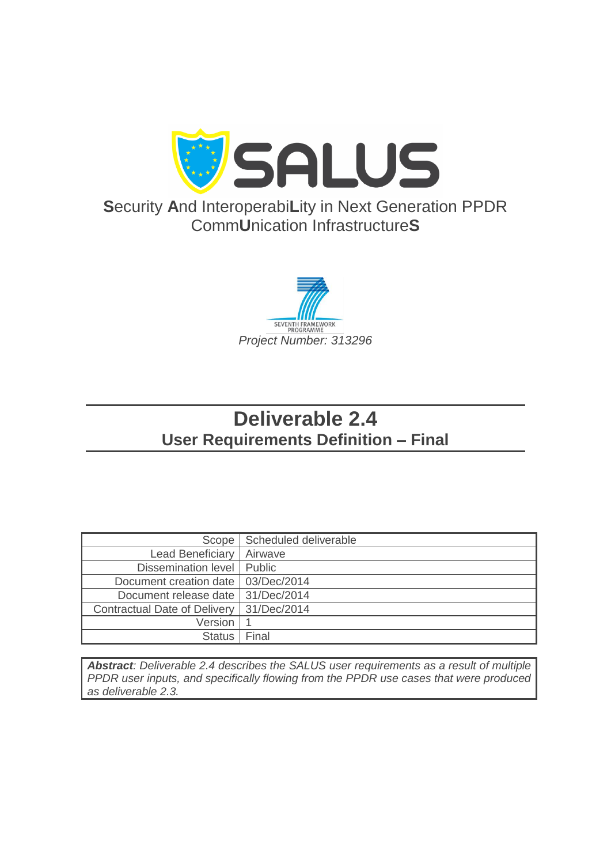

# **S**ecurity **A**nd Interoperabi**L**ity in Next Generation PPDR Comm**U**nication Infrastructure**S**



# **Deliverable 2.4 User Requirements Definition – Final**

| Scope                        | Scheduled deliverable |
|------------------------------|-----------------------|
| Lead Beneficiary             | Airwave               |
| Dissemination level   Public |                       |
| Document creation date       | 03/Dec/2014           |
| Document release date        | 31/Dec/2014           |
| Contractual Date of Delivery | 31/Dec/2014           |
| Version                      |                       |
| <b>Status</b>                | Final                 |

*Abstract: Deliverable 2.4 describes the SALUS user requirements as a result of multiple PPDR user inputs, and specifically flowing from the PPDR use cases that were produced as deliverable 2.3.*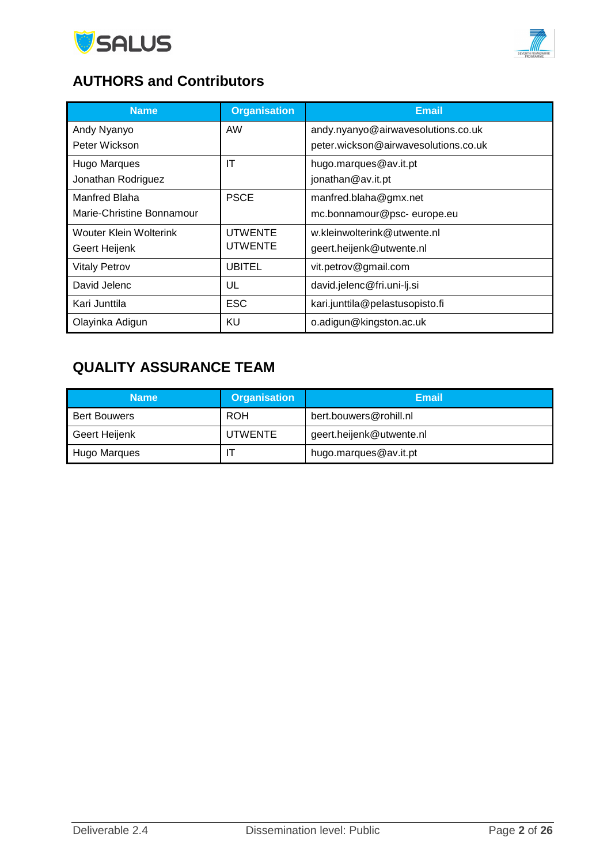



# **AUTHORS and Contributors**

| <b>Name</b>                   | <b>Organisation</b> | <b>Email</b>                         |
|-------------------------------|---------------------|--------------------------------------|
| Andy Nyanyo                   | <b>AW</b>           | andy.nyanyo@airwavesolutions.co.uk   |
| Peter Wickson                 |                     | peter.wickson@airwavesolutions.co.uk |
| Hugo Marques                  | IT                  | hugo.marques@av.it.pt                |
| Jonathan Rodriguez            |                     | jonathan@av.it.pt                    |
| Manfred Blaha                 | <b>PSCE</b>         | manfred.blaha@gmx.net                |
| Marie-Christine Bonnamour     |                     | mc.bonnamour@psc-europe.eu           |
| <b>Wouter Klein Wolterink</b> | <b>UTWENTE</b>      | w.kleinwolterink@utwente.nl          |
| Geert Heijenk                 | UTWENTE             | geert.heijenk@utwente.nl             |
| <b>Vitaly Petrov</b>          | <b>UBITEL</b>       | vit.petrov@gmail.com                 |
| David Jelenc                  | UL                  | david.jelenc@fri.uni-lj.si           |
| Kari Junttila                 | <b>ESC</b>          | kari.junttila@pelastusopisto.fi      |
| Olayinka Adigun               | KU                  | o.adigun@kingston.ac.uk              |

# **QUALITY ASSURANCE TEAM**

| <b>Name</b>                     | <b>Organisation</b> | Email                    |
|---------------------------------|---------------------|--------------------------|
| <b>Bert Bouwers</b>             | <b>ROH</b>          | bert.bouwers@rohill.nl   |
| Geert Heijenk<br><b>UTWENTE</b> |                     | geert.heijenk@utwente.nl |
| Hugo Marques                    |                     | hugo.marques@av.it.pt    |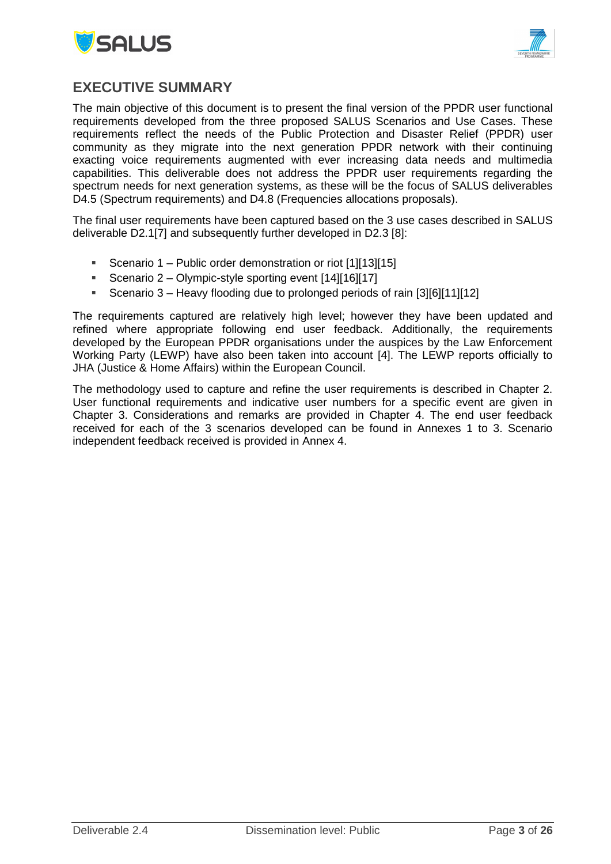



### <span id="page-2-0"></span>**EXECUTIVE SUMMARY**

The main objective of this document is to present the final version of the PPDR user functional requirements developed from the three proposed SALUS Scenarios and Use Cases. These requirements reflect the needs of the Public Protection and Disaster Relief (PPDR) user community as they migrate into the next generation PPDR network with their continuing exacting voice requirements augmented with ever increasing data needs and multimedia capabilities. This deliverable does not address the PPDR user requirements regarding the spectrum needs for next generation systems, as these will be the focus of SALUS deliverables D4.5 (Spectrum requirements) and D4.8 (Frequencies allocations proposals).

The final user requirements have been captured based on the 3 use cases described in SALUS deliverable D2.1[7] and subsequently further developed in D2.3 [8]:

- Scenario 1 Public order demonstration or riot [1][13][15]
- Scenario 2 Olympic-style sporting event [14][16][17]
- Scenario 3 Heavy flooding due to prolonged periods of rain [3][6][11][12]

The requirements captured are relatively high level; however they have been updated and refined where appropriate following end user feedback. Additionally, the requirements developed by the European PPDR organisations under the auspices by the Law Enforcement Working Party (LEWP) have also been taken into account [4]. The LEWP reports officially to JHA (Justice & Home Affairs) within the European Council.

The methodology used to capture and refine the user requirements is described in Chapter 2. User functional requirements and indicative user numbers for a specific event are given in Chapter 3. Considerations and remarks are provided in Chapter 4. The end user feedback received for each of the 3 scenarios developed can be found in Annexes 1 to 3. Scenario independent feedback received is provided in Annex 4.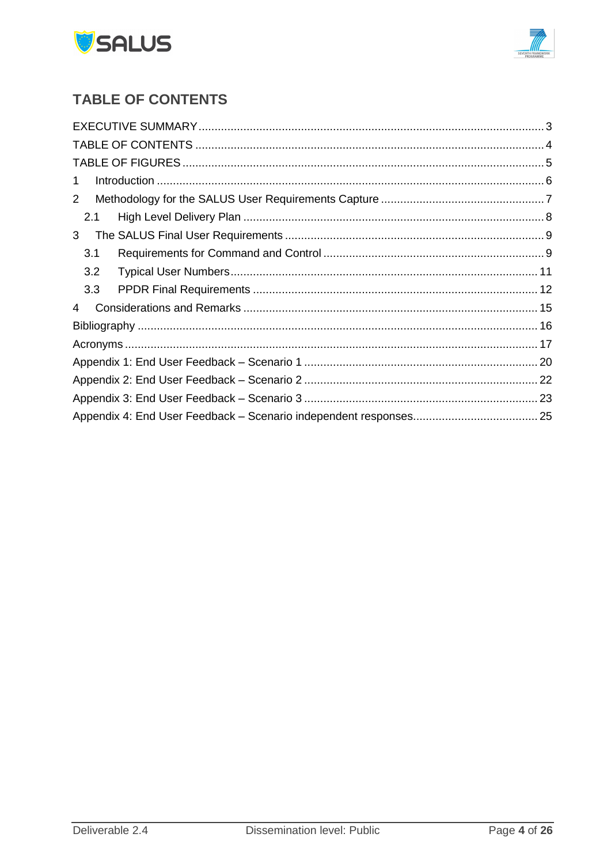



# <span id="page-3-0"></span>**TABLE OF CONTENTS**

| 10.000 minutes and the material method with the control of the control of the control of the control of the control of $6$<br>1 |  |
|---------------------------------------------------------------------------------------------------------------------------------|--|
| $\overline{2}$                                                                                                                  |  |
| 2.1                                                                                                                             |  |
| 3                                                                                                                               |  |
| 3.1                                                                                                                             |  |
| 3.2                                                                                                                             |  |
| 3.3                                                                                                                             |  |
| 4                                                                                                                               |  |
|                                                                                                                                 |  |
|                                                                                                                                 |  |
|                                                                                                                                 |  |
|                                                                                                                                 |  |
|                                                                                                                                 |  |
|                                                                                                                                 |  |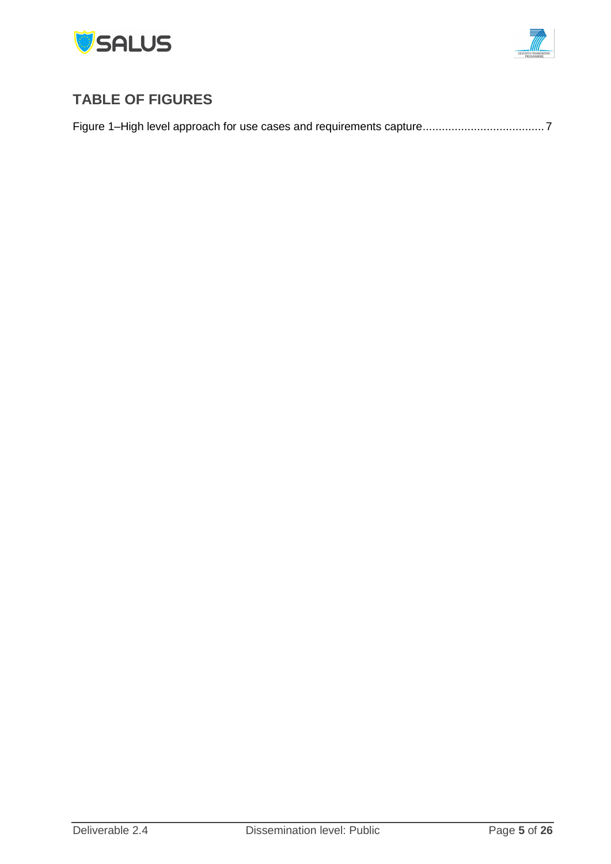



# <span id="page-4-0"></span>**TABLE OF FIGURES**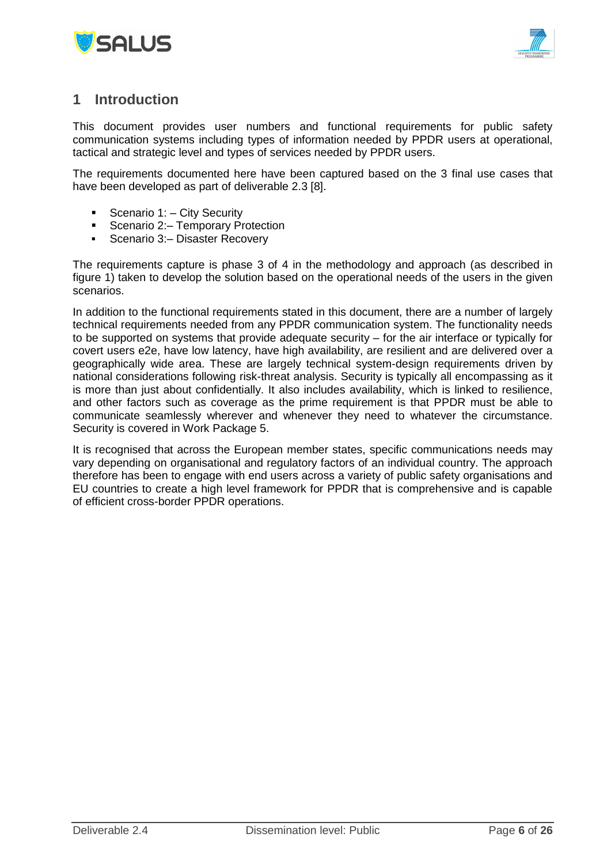



### <span id="page-5-0"></span>**1 Introduction**

This document provides user numbers and functional requirements for public safety communication systems including types of information needed by PPDR users at operational, tactical and strategic level and types of services needed by PPDR users.

The requirements documented here have been captured based on the 3 final use cases that have been developed as part of deliverable 2.3 [8].

- Scenario 1:  $-$  City Security
- Scenario 2: Temporary Protection
- **Scenario 3: Disaster Recovery**

The requirements capture is phase 3 of 4 in the methodology and approach (as described in figure 1) taken to develop the solution based on the operational needs of the users in the given scenarios.

In addition to the functional requirements stated in this document, there are a number of largely technical requirements needed from any PPDR communication system. The functionality needs to be supported on systems that provide adequate security – for the air interface or typically for covert users e2e, have low latency, have high availability, are resilient and are delivered over a geographically wide area. These are largely technical system-design requirements driven by national considerations following risk-threat analysis. Security is typically all encompassing as it is more than just about confidentially. It also includes availability, which is linked to resilience, and other factors such as coverage as the prime requirement is that PPDR must be able to communicate seamlessly wherever and whenever they need to whatever the circumstance. Security is covered in Work Package 5.

It is recognised that across the European member states, specific communications needs may vary depending on organisational and regulatory factors of an individual country. The approach therefore has been to engage with end users across a variety of public safety organisations and EU countries to create a high level framework for PPDR that is comprehensive and is capable of efficient cross-border PPDR operations.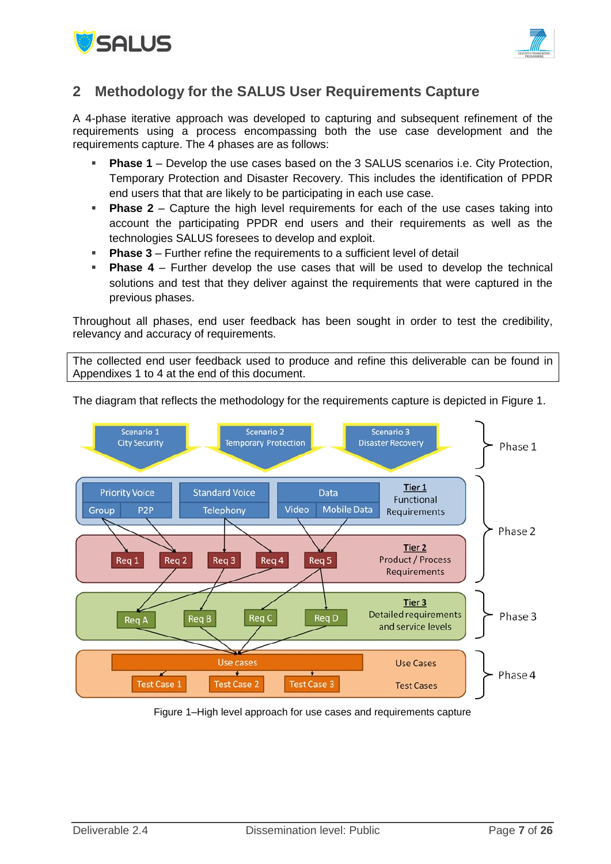



### <span id="page-6-0"></span>**2 Methodology for the SALUS User Requirements Capture**

A 4-phase iterative approach was developed to capturing and subsequent refinement of the requirements using a process encompassing both the use case development and the requirements capture. The 4 phases are as follows:

- **Phase 1** Develop the use cases based on the 3 SALUS scenarios i.e. City Protection, Temporary Protection and Disaster Recovery. This includes the identification of PPDR end users that that are likely to be participating in each use case.
- **Phase 2** Capture the high level requirements for each of the use cases taking into account the participating PPDR end users and their requirements as well as the technologies SALUS foresees to develop and exploit.
- **Phase 3** Further refine the requirements to a sufficient level of detail
- **Phase 4**  Further develop the use cases that will be used to develop the technical solutions and test that they deliver against the requirements that were captured in the previous phases.

Throughout all phases, end user feedback has been sought in order to test the credibility, relevancy and accuracy of requirements.

The collected end user feedback used to produce and refine this deliverable can be found in Appendixes 1 to 4 at the end of this document.



The diagram that reflects the methodology for the requirements capture is depicted in [Figure 1.](#page-6-1)

<span id="page-6-1"></span>Figure 1–High level approach for use cases and requirements capture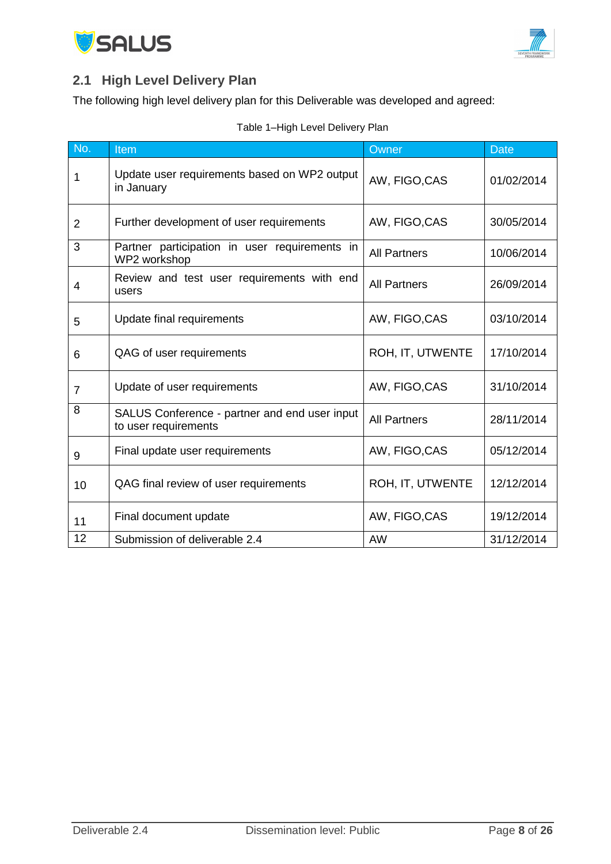



# <span id="page-7-0"></span>**2.1 High Level Delivery Plan**

The following high level delivery plan for this Deliverable was developed and agreed:

|  |  |  | Table 1-High Level Delivery Plan |  |
|--|--|--|----------------------------------|--|
|--|--|--|----------------------------------|--|

| No.            | Item                                                                  | Owner               | <b>Date</b> |
|----------------|-----------------------------------------------------------------------|---------------------|-------------|
| 1              | Update user requirements based on WP2 output<br>in January            | AW, FIGO, CAS       | 01/02/2014  |
| $\overline{2}$ | Further development of user requirements                              | AW, FIGO, CAS       | 30/05/2014  |
| 3              | Partner participation in user requirements in<br>WP2 workshop         | <b>All Partners</b> | 10/06/2014  |
| 4              | Review and test user requirements with end<br>users                   | <b>All Partners</b> | 26/09/2014  |
| 5              | Update final requirements                                             | AW, FIGO, CAS       | 03/10/2014  |
| 6              | QAG of user requirements                                              | ROH, IT, UTWENTE    | 17/10/2014  |
| 7              | Update of user requirements                                           | AW, FIGO, CAS       | 31/10/2014  |
| 8              | SALUS Conference - partner and end user input<br>to user requirements | <b>All Partners</b> | 28/11/2014  |
| 9              | Final update user requirements                                        | AW, FIGO, CAS       | 05/12/2014  |
| 10             | QAG final review of user requirements                                 | ROH, IT, UTWENTE    | 12/12/2014  |
| 11             | Final document update                                                 | AW, FIGO, CAS       | 19/12/2014  |
| 12             | Submission of deliverable 2.4                                         | <b>AW</b>           | 31/12/2014  |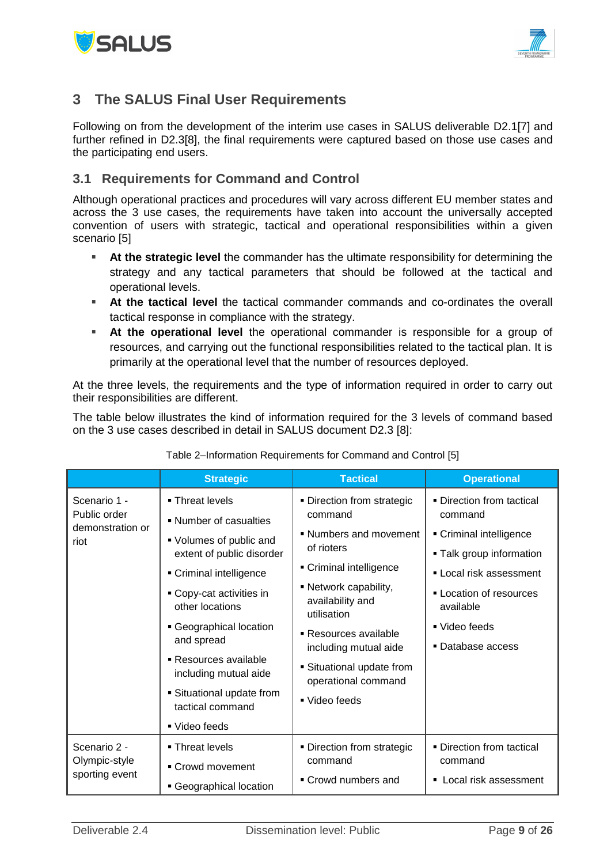



### <span id="page-8-0"></span>**3 The SALUS Final User Requirements**

Following on from the development of the interim use cases in SALUS deliverable D2.1[7] and further refined in D2.3[8], the final requirements were captured based on those use cases and the participating end users.

#### <span id="page-8-1"></span>**3.1 Requirements for Command and Control**

Although operational practices and procedures will vary across different EU member states and across the 3 use cases, the requirements have taken into account the universally accepted convention of users with strategic, tactical and operational responsibilities within a given scenario [5]

- **At the strategic level** the commander has the ultimate responsibility for determining the strategy and any tactical parameters that should be followed at the tactical and operational levels.
- **At the tactical level** the tactical commander commands and co-ordinates the overall tactical response in compliance with the strategy.
- **At the operational level** the operational commander is responsible for a group of resources, and carrying out the functional responsibilities related to the tactical plan. It is primarily at the operational level that the number of resources deployed.

At the three levels, the requirements and the type of information required in order to carry out their responsibilities are different.

The table below illustrates the kind of information required for the 3 levels of command based on the 3 use cases described in detail in SALUS document D2.3 [8]:

|                                                          | <b>Strategic</b>                                     | <b>Tactical</b>                                          | <b>Operational</b>                                |
|----------------------------------------------------------|------------------------------------------------------|----------------------------------------------------------|---------------------------------------------------|
| Scenario 1 -<br>Public order<br>demonstration or<br>riot | • Threat levels<br>• Number of casualties            | • Direction from strategic<br>command                    | • Direction from tactical<br>command              |
|                                                          | • Volumes of public and<br>extent of public disorder | • Numbers and movement<br>of rioters                     | Criminal intelligence<br>- Talk group information |
|                                                          | Criminal intelligence                                | Criminal intelligence                                    | Local risk assessment                             |
|                                                          | • Copy-cat activities in<br>other locations          | • Network capability,<br>availability and<br>utilisation | • Location of resources<br>available              |
|                                                          | Geographical location<br>and spread                  | Resources available<br>including mutual aide             | ■ Video feeds<br>• Database access                |
|                                                          | ■ Resources available<br>including mutual aide       | • Situational update from<br>operational command         |                                                   |
|                                                          | <b>Situational update from</b><br>tactical command   | ■ Video feeds                                            |                                                   |
|                                                          | ■ Video feeds                                        |                                                          |                                                   |
| Scenario 2 -                                             | ■ Threat levels                                      | • Direction from strategic                               | • Direction from tactical                         |
| Olympic-style<br>sporting event                          | • Crowd movement                                     | command                                                  | command                                           |
|                                                          | Geographical location                                | • Crowd numbers and                                      | ■ Local risk assessment                           |

#### Table 2–Information Requirements for Command and Control [5]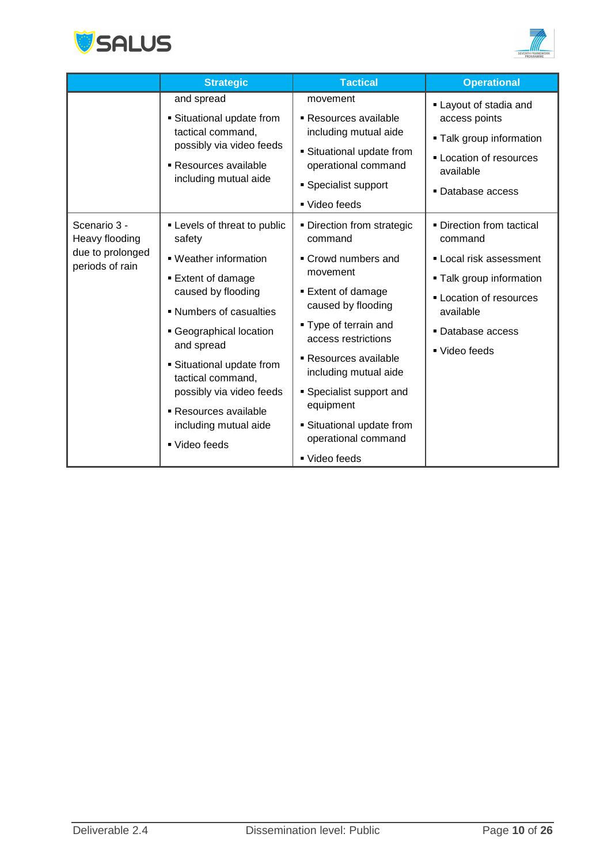



|                                                                       | <b>Strategic</b>                                                                                                                                                                                                                                                                                                               | <b>Tactical</b>                                                                                                                                                                                                                                                                                                                  | <b>Operational</b>                                                                                                                                                             |
|-----------------------------------------------------------------------|--------------------------------------------------------------------------------------------------------------------------------------------------------------------------------------------------------------------------------------------------------------------------------------------------------------------------------|----------------------------------------------------------------------------------------------------------------------------------------------------------------------------------------------------------------------------------------------------------------------------------------------------------------------------------|--------------------------------------------------------------------------------------------------------------------------------------------------------------------------------|
|                                                                       | and spread<br>• Situational update from<br>tactical command,<br>possibly via video feeds<br>Resources available<br>including mutual aide                                                                                                                                                                                       | movement<br>■ Resources available<br>including mutual aide<br>• Situational update from<br>operational command<br>• Specialist support<br>■ Video feeds                                                                                                                                                                          | Layout of stadia and<br>access points<br>- Talk group information<br>- Location of resources<br>available<br>■ Database access                                                 |
| Scenario 3 -<br>Heavy flooding<br>due to prolonged<br>periods of rain | - Levels of threat to public<br>safety<br>• Weather information<br>■ Extent of damage<br>caused by flooding<br>• Numbers of casualties<br>• Geographical location<br>and spread<br>• Situational update from<br>tactical command,<br>possibly via video feeds<br>Resources available<br>including mutual aide<br>■ Video feeds | • Direction from strategic<br>command<br>• Crowd numbers and<br>movement<br>■ Extent of damage<br>caused by flooding<br>• Type of terrain and<br>access restrictions<br>Resources available<br>including mutual aide<br>• Specialist support and<br>equipment<br>Situational update from<br>operational command<br>■ Video feeds | • Direction from tactical<br>command<br>Local risk assessment<br>• Talk group information<br><b>- Location of resources</b><br>available<br>• Database access<br>■ Video feeds |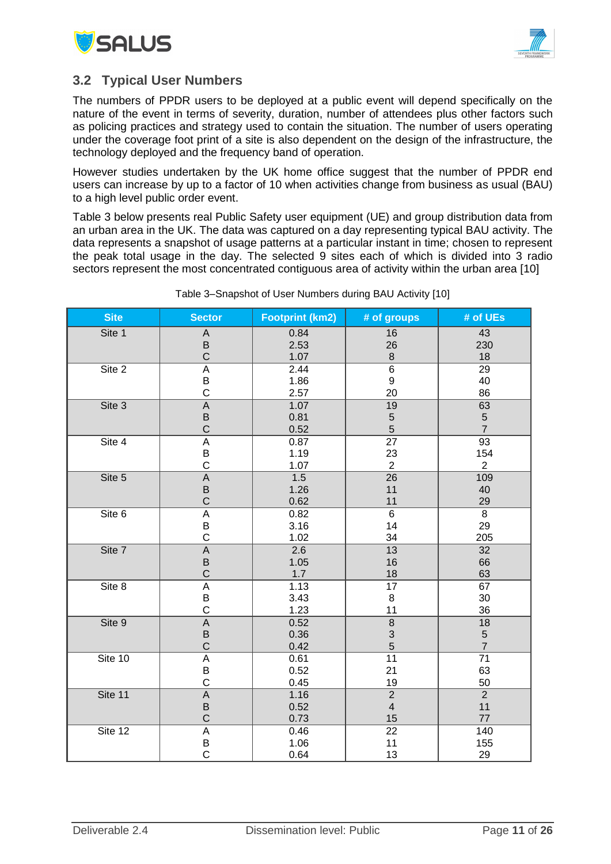



### <span id="page-10-0"></span>**3.2 Typical User Numbers**

The numbers of PPDR users to be deployed at a public event will depend specifically on the nature of the event in terms of severity, duration, number of attendees plus other factors such as policing practices and strategy used to contain the situation. The number of users operating under the coverage foot print of a site is also dependent on the design of the infrastructure, the technology deployed and the frequency band of operation.

However studies undertaken by the UK home office suggest that the number of PPDR end users can increase by up to a factor of 10 when activities change from business as usual (BAU) to a high level public order event.

Table 3 below presents real Public Safety user equipment (UE) and group distribution data from an urban area in the UK. The data was captured on a day representing typical BAU activity. The data represents a snapshot of usage patterns at a particular instant in time; chosen to represent the peak total usage in the day. The selected 9 sites each of which is divided into 3 radio sectors represent the most concentrated contiguous area of activity within the urban area [10]

| Site    | <b>Sector</b> | <b>Footprint (km2)</b> | # of groups             | # of UEs       |
|---------|---------------|------------------------|-------------------------|----------------|
| Site 1  | A             | 0.84                   | 16                      | 43             |
|         | B             | 2.53                   | 26                      | 230            |
|         | $\mathsf C$   | 1.07                   | 8                       | 18             |
| Site 2  | A             | 2.44                   | $\overline{6}$          | 29             |
|         | Β             | 1.86                   | $\boldsymbol{9}$        | 40             |
|         | $\mathsf C$   | 2.57                   | 20                      | 86             |
| Site 3  | $\mathsf A$   | 1.07                   | 19                      | 63             |
|         | B             | 0.81                   | 5                       | $5\,$          |
|         | $\mathsf C$   | 0.52                   | 5                       | $\overline{7}$ |
| Site 4  | A             | 0.87                   | $\overline{27}$         | 93             |
|         | B             | 1.19                   | 23                      | 154            |
|         | $\mathsf{C}$  | 1.07                   | $\overline{2}$          | $\overline{2}$ |
| Site 5  | $\mathsf A$   | 1.5                    | $\overline{26}$         | 109            |
|         | B             | 1.26                   | 11                      | 40             |
|         | $\mathsf{C}$  | 0.62                   | 11                      | 29             |
| Site 6  | A             | 0.82                   | $\overline{6}$          | 8              |
|         | B             | 3.16                   | 14                      | 29             |
|         | $\mathsf C$   | 1.02                   | 34                      | 205            |
| Site 7  | $\mathsf A$   | 2.6                    | 13                      | 32             |
|         | $\sf B$       | 1.05                   | 16                      | 66             |
|         | $\mathsf C$   | 1.7                    | 18                      | 63             |
| Site 8  | A             | 1.13<br>17             |                         | 67             |
|         | B             | 3.43                   | 8                       | 30             |
|         | $\mathsf C$   | 1.23                   | 11                      | 36             |
| Site 9  | A             | 0.52                   | 8                       | 18             |
|         | B             | 0.36                   | $\mathsf 3$             | $\sqrt{5}$     |
|         | $\mathsf C$   | 0.42                   | 5                       | $\overline{7}$ |
| Site 10 | A             | 0.61                   | 11                      | 71             |
|         | Β             | 0.52                   | 21                      | 63             |
|         | $\mathsf C$   | 0.45                   | 19                      | 50             |
| Site 11 | $\sf A$       | 1.16                   | $\overline{2}$          | $\overline{2}$ |
|         | B             | 0.52                   | $\overline{\mathbf{4}}$ | 11             |
|         | $\mathsf C$   | 0.73                   | 15                      | 77             |
| Site 12 | A             | 0.46                   | 22                      | 140            |
|         | B             | 1.06                   | 11                      | 155            |
|         | $\mathbf C$   | 0.64                   | 13                      | 29             |

Table 3–Snapshot of User Numbers during BAU Activity [10]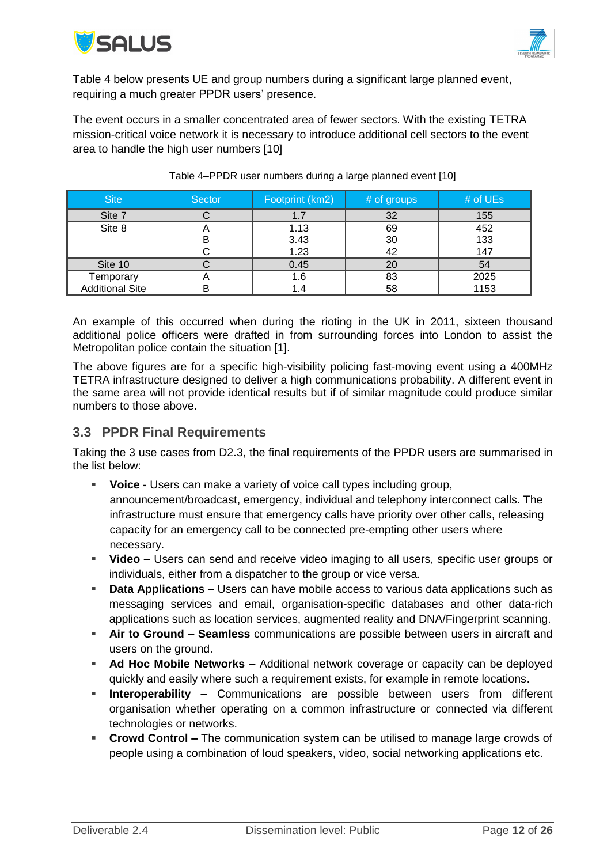



Table 4 below presents UE and group numbers during a significant large planned event, requiring a much greater PPDR users' presence.

The event occurs in a smaller concentrated area of fewer sectors. With the existing TETRA mission-critical voice network it is necessary to introduce additional cell sectors to the event area to handle the high user numbers [10]

| <b>Site</b>            | Sector | Footprint (km2) | # of groups | # of $UEs$ |
|------------------------|--------|-----------------|-------------|------------|
| Site 7                 |        |                 | 32          | 155        |
| Site 8                 | n      | 1.13            | 69          | 452        |
|                        | В      | 3.43            | 30          | 133        |
|                        |        | 1.23            | 42          | 147        |
| Site 10                |        | 0.45            | 20          | 54         |
| Temporary              |        | 6. ا            | 83          | 2025       |
| <b>Additional Site</b> | в      | .4              | 58          | 1153       |

Table 4–PPDR user numbers during a large planned event [10]

An example of this occurred when during the rioting in the UK in 2011, sixteen thousand additional police officers were drafted in from surrounding forces into London to assist the Metropolitan police contain the situation [\[1\].](#page-15-1)

The above figures are for a specific high-visibility policing fast-moving event using a 400MHz TETRA infrastructure designed to deliver a high communications probability. A different event in the same area will not provide identical results but if of similar magnitude could produce similar numbers to those above.

#### <span id="page-11-0"></span>**3.3 PPDR Final Requirements**

Taking the 3 use cases from D2.3, the final requirements of the PPDR users are summarised in the list below:

- **Voice -** Users can make a variety of voice call types including group, announcement/broadcast, emergency, individual and telephony interconnect calls. The infrastructure must ensure that emergency calls have priority over other calls, releasing capacity for an emergency call to be connected pre-empting other users where necessary.
- **Video –** Users can send and receive video imaging to all users, specific user groups or individuals, either from a dispatcher to the group or vice versa.
- **Data Applications –** Users can have mobile access to various data applications such as messaging services and email, organisation-specific databases and other data-rich applications such as location services, augmented reality and DNA/Fingerprint scanning.
- **Air to Ground – Seamless** communications are possible between users in aircraft and users on the ground.
- **Ad Hoc Mobile Networks –** Additional network coverage or capacity can be deployed quickly and easily where such a requirement exists, for example in remote locations.
- **Interoperability –** Communications are possible between users from different organisation whether operating on a common infrastructure or connected via different technologies or networks.
- **Crowd Control –** The communication system can be utilised to manage large crowds of people using a combination of loud speakers, video, social networking applications etc.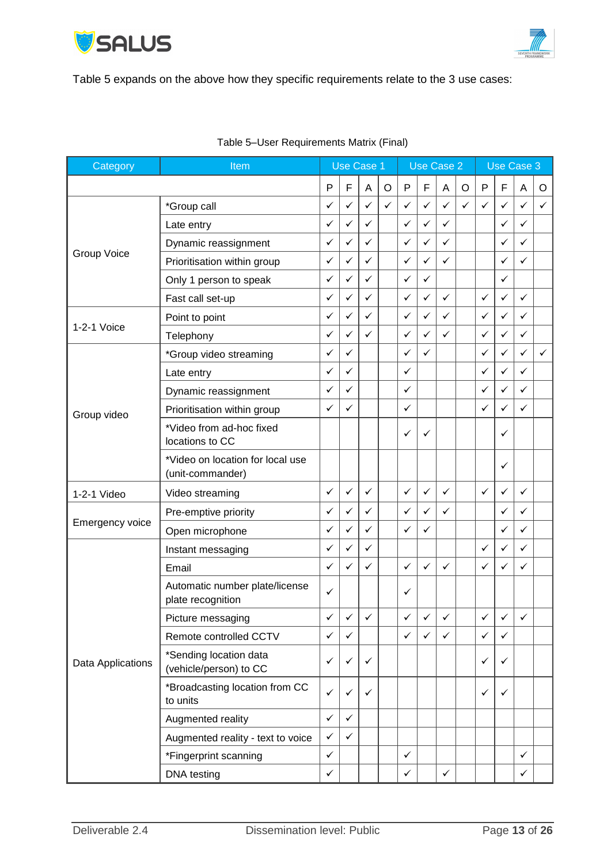



[Table 5](#page-12-0) expands on the above how they specific requirements relate to the 3 use cases:

<span id="page-12-0"></span>

| Category           | Item                                                 |              | Use Case 1   |              | <b>Use Case 2</b> |              |              |              | Use Case 3 |              |              |              |              |
|--------------------|------------------------------------------------------|--------------|--------------|--------------|-------------------|--------------|--------------|--------------|------------|--------------|--------------|--------------|--------------|
|                    |                                                      | P            | F            | A            | O                 | ${\sf P}$    | F            | Α            | O          | $\mathsf{P}$ | F            | Α            | O            |
|                    | *Group call                                          | ✓            | ✓            | $\checkmark$ | ✓                 | $\checkmark$ | $\checkmark$ | $\checkmark$ | ✓          | $\checkmark$ | ✓            | $\checkmark$ | ✓            |
|                    | Late entry                                           | ✓            | $\checkmark$ | $\checkmark$ |                   | $\checkmark$ | ✓            | $\checkmark$ |            |              | ✓            | ✓            |              |
|                    | Dynamic reassignment                                 | ✓            | ✓            | ✓            |                   | ✓            | ✓            | $\checkmark$ |            |              | ✓            | ✓            |              |
| <b>Group Voice</b> | Prioritisation within group                          | ✓            | ✓            | ✓            |                   | $\checkmark$ | ✓            | ✓            |            |              | ✓            | ✓            |              |
|                    | Only 1 person to speak                               | ✓            | ✓            | $\checkmark$ |                   | ✓            | $\checkmark$ |              |            |              | $\checkmark$ |              |              |
|                    | Fast call set-up                                     | ✓            | ✓            | ✓            |                   | $\checkmark$ | ✓            | $\checkmark$ |            | $\checkmark$ | ✓            | ✓            |              |
|                    | Point to point                                       | ✓            | ✓            | $\checkmark$ |                   | ✓            | ✓            | ✓            |            | $\checkmark$ | ✓            | ✓            |              |
| 1-2-1 Voice        | Telephony                                            | ✓            | ✓            | ✓            |                   | $\checkmark$ | ✓            | $\checkmark$ |            | $\checkmark$ | ✓            | ✓            |              |
|                    | *Group video streaming                               | ✓            | ✓            |              |                   | $\checkmark$ | ✓            |              |            | ✓            | ✓            | $\checkmark$ | $\checkmark$ |
|                    | Late entry                                           | ✓            | ✓            |              |                   | $\checkmark$ |              |              |            | $\checkmark$ | ✓            | ✓            |              |
|                    | Dynamic reassignment                                 | ✓            | ✓            |              |                   | $\checkmark$ |              |              |            | ✓            | $\checkmark$ | ✓            |              |
| Group video        | Prioritisation within group                          | ✓            | $\checkmark$ |              |                   | $\checkmark$ |              |              |            | ✓            | $\checkmark$ | ✓            |              |
|                    | *Video from ad-hoc fixed<br>locations to CC          |              |              |              |                   | ✓            | ✓            |              |            |              | ✓            |              |              |
|                    | *Video on location for local use<br>(unit-commander) |              |              |              |                   |              |              |              |            |              | ✓            |              |              |
| 1-2-1 Video        | Video streaming                                      | ✓            | ✓            | ✓            |                   | $\checkmark$ | $\checkmark$ | ✓            |            | ✓            | ✓            | ✓            |              |
|                    | Pre-emptive priority                                 | ✓            | ✓            | ✓            |                   | ✓            | ✓            | ✓            |            |              | ✓            | ✓            |              |
| Emergency voice    | Open microphone                                      | ✓            | ✓            | ✓            |                   | ✓            | $\checkmark$ |              |            |              | $\checkmark$ | ✓            |              |
|                    | Instant messaging                                    | $\checkmark$ | ✓            | $\checkmark$ |                   |              |              |              |            | ✓            | ✓            | $\checkmark$ |              |
|                    | Email                                                | ✓            | $\checkmark$ | $\checkmark$ |                   | ✓            | ✓            | ✓            |            | $\checkmark$ | ✓            | ✓            |              |
|                    | Automatic number plate/license<br>plate recognition  | ✓            |              |              |                   | ✓            |              |              |            |              |              |              |              |
|                    | Picture messaging                                    | ✓            | $\checkmark$ | $\checkmark$ |                   | $\checkmark$ | ✓            | ✓            |            | $\checkmark$ | ✓            | $\checkmark$ |              |
|                    | Remote controlled CCTV                               | $\checkmark$ | ✓            |              |                   | $\checkmark$ | $\checkmark$ | $\checkmark$ |            | $\checkmark$ | ✓            |              |              |
| Data Applications  | *Sending location data<br>(vehicle/person) to CC     | ✓            | ✓            | ✓            |                   |              |              |              |            | ✓            | ✓            |              |              |
|                    | *Broadcasting location from CC<br>to units           | ✓            | ✓            | ✓            |                   |              |              |              |            | $\checkmark$ | ✓            |              |              |
|                    | Augmented reality                                    | $\checkmark$ | $\checkmark$ |              |                   |              |              |              |            |              |              |              |              |
|                    | Augmented reality - text to voice                    | $\checkmark$ | $\checkmark$ |              |                   |              |              |              |            |              |              |              |              |
|                    | *Fingerprint scanning                                | $\checkmark$ |              |              |                   | $\checkmark$ |              |              |            |              |              | ✓            |              |
|                    | DNA testing                                          | ✓            |              |              |                   | $\checkmark$ |              | $\checkmark$ |            |              |              | $\checkmark$ |              |

#### Table 5–User Requirements Matrix (Final)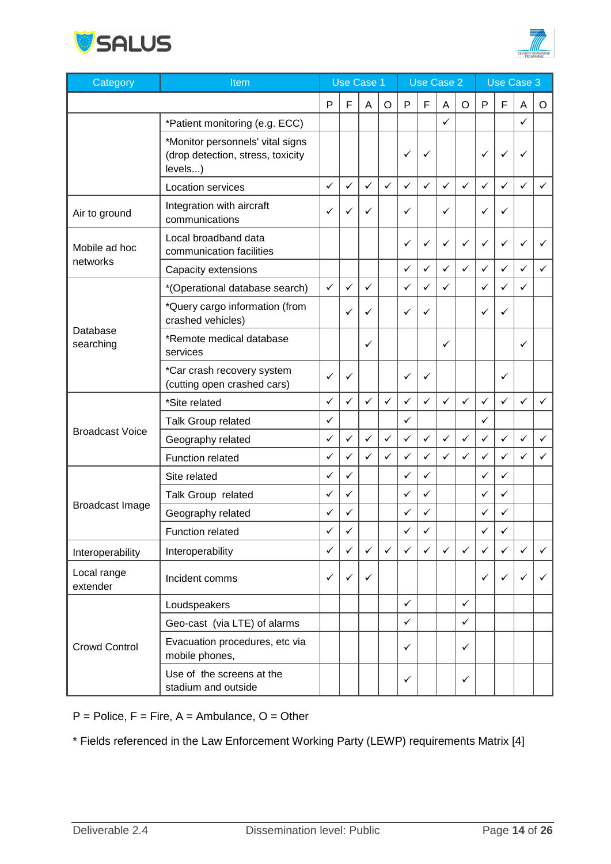



| Category                | Item                                                                             | <b>Use Case 1</b> |              | <b>Use Case 2</b> |              |              |              | Use Case 3   |              |              |   |              |              |
|-------------------------|----------------------------------------------------------------------------------|-------------------|--------------|-------------------|--------------|--------------|--------------|--------------|--------------|--------------|---|--------------|--------------|
|                         |                                                                                  | P                 | F            | A                 | $\circ$      | ${\sf P}$    | F            | A            | O            | P            | F | A            | O            |
|                         | *Patient monitoring (e.g. ECC)                                                   |                   |              |                   |              |              |              | $\checkmark$ |              |              |   | ✓            |              |
|                         | *Monitor personnels' vital signs<br>(drop detection, stress, toxicity<br>levels) |                   |              |                   |              | ✓            | ✓            |              |              | ✓            | ✓ | ✓            |              |
|                         | Location services                                                                | ✓                 | ✓            | ✓                 | $\checkmark$ | ✓            | ✓            | ✓            | ✓            | ✓            | ✓ | ✓            | ✓            |
| Air to ground           | Integration with aircraft<br>communications                                      | ✓                 | ✓            | ✓                 |              | ✓            |              | ✓            |              | ✓            | ✓ |              |              |
| Mobile ad hoc           | Local broadband data<br>communication facilities                                 |                   |              |                   |              | ✓            | ✓            | ✓            | ✓            | ✓            | ✓ | ✓            | ✓            |
| networks                | Capacity extensions                                                              |                   |              |                   |              | $\checkmark$ | ✓            | $\checkmark$ | $\checkmark$ | $\checkmark$ | ✓ | $\checkmark$ | ✓            |
|                         | *(Operational database search)                                                   | $\checkmark$      | ✓            | $\checkmark$      |              | ✓            | ✓            | ✓            |              | $\checkmark$ | ✓ | ✓            |              |
|                         | *Query cargo information (from<br>crashed vehicles)                              |                   | ✓            | ✓                 |              | ✓            | ✓            |              |              | ✓            | ✓ |              |              |
| Database<br>searching   | *Remote medical database<br>services                                             |                   |              | ✓                 |              |              |              | ✓            |              |              |   | ✓            |              |
|                         | *Car crash recovery system<br>(cutting open crashed cars)                        | $\checkmark$      | ✓            |                   |              | ✓            | ✓            |              |              |              | ✓ |              |              |
|                         | *Site related                                                                    | ✓                 | ✓            | $\checkmark$      | ✓            | ✓            | ✓            | $\checkmark$ | ✓            | ✓            | ✓ | ✓            | ✓            |
|                         | Talk Group related                                                               | ✓                 |              |                   |              | ✓            |              |              |              | ✓            |   |              |              |
| <b>Broadcast Voice</b>  | Geography related                                                                | ✓                 | ✓            | $\checkmark$      | ✓            | $\checkmark$ | ✓            | ✓            | ✓            | $\checkmark$ | ✓ | ✓            | ✓            |
|                         | Function related                                                                 | ✓                 | ✓            | ✓                 | ✓            | $\checkmark$ | $\checkmark$ | ✓            | ✓            | $\checkmark$ | ✓ | ✓            | ✓            |
|                         | Site related                                                                     | ✓                 | ✓            |                   |              | ✓            | ✓            |              |              | $\checkmark$ | ✓ |              |              |
|                         | Talk Group related                                                               | ✓                 | ✓            |                   |              | ✓            | ✓            |              |              | ✓            | ✓ |              |              |
| <b>Broadcast Image</b>  | Geography related                                                                | ✓                 | ✓            |                   |              | ✓            | ✓            |              |              | ✓            | ✓ |              |              |
|                         | Function related                                                                 | ✓                 | ✓            |                   |              | ✓            |              |              |              | ✓            | ✓ |              |              |
| Interoperability        | Interoperability                                                                 | ✓                 | $\checkmark$ | $\checkmark$      | $\checkmark$ | $\checkmark$ | ✓            | $\checkmark$ | $\checkmark$ | $\checkmark$ | ✓ | ✓            | $\checkmark$ |
| Local range<br>extender | Incident comms                                                                   | ✓                 | ✓            | ✓                 |              |              |              |              |              | ✓            | ✓ | ✓            | ✓            |
|                         | Loudspeakers                                                                     |                   |              |                   |              | ✓            |              |              | $\checkmark$ |              |   |              |              |
|                         | Geo-cast (via LTE) of alarms                                                     |                   |              |                   |              | ✓            |              |              | ✓            |              |   |              |              |
| <b>Crowd Control</b>    | Evacuation procedures, etc via<br>mobile phones,                                 |                   |              |                   |              | ✓            |              |              | ✓            |              |   |              |              |
|                         | Use of the screens at the<br>stadium and outside                                 |                   |              |                   |              | ✓            |              |              | ✓            |              |   |              |              |

 $P =$  Police,  $F =$  Fire,  $A =$  Ambulance,  $O =$  Other

\* Fields referenced in the Law Enforcement Working Party (LEWP) requirements Matrix [4]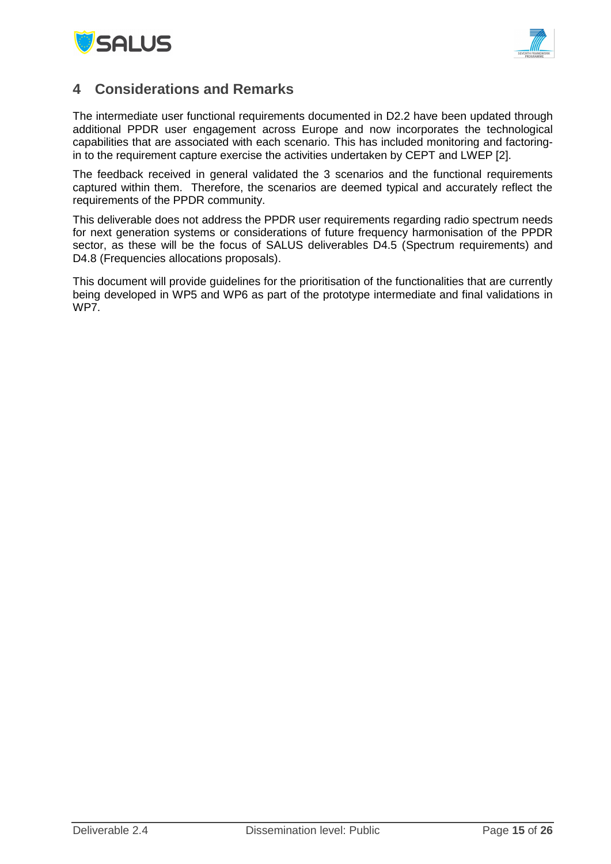



### <span id="page-14-0"></span>**4 Considerations and Remarks**

The intermediate user functional requirements documented in D2.2 have been updated through additional PPDR user engagement across Europe and now incorporates the technological capabilities that are associated with each scenario. This has included monitoring and factoringin to the requirement capture exercise the activities undertaken by CEPT and LWEP [2].

The feedback received in general validated the 3 scenarios and the functional requirements captured within them. Therefore, the scenarios are deemed typical and accurately reflect the requirements of the PPDR community.

This deliverable does not address the PPDR user requirements regarding radio spectrum needs for next generation systems or considerations of future frequency harmonisation of the PPDR sector, as these will be the focus of SALUS deliverables D4.5 (Spectrum requirements) and D4.8 (Frequencies allocations proposals).

This document will provide guidelines for the prioritisation of the functionalities that are currently being developed in WP5 and WP6 as part of the prototype intermediate and final validations in WP<sub>7</sub>.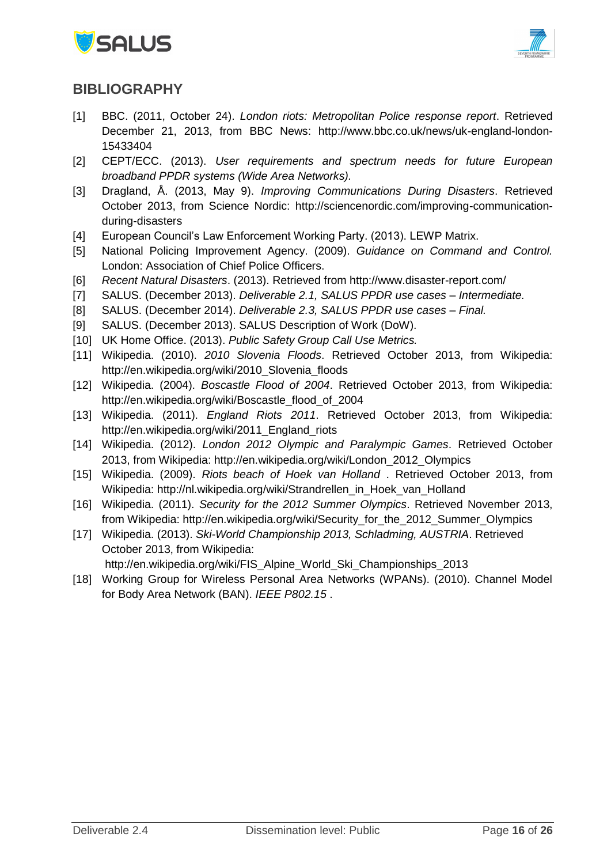



### <span id="page-15-0"></span>**BIBLIOGRAPHY**

- <span id="page-15-1"></span>[1] BBC. (2011, October 24). *London riots: Metropolitan Police response report*. Retrieved December 21, 2013, from BBC News: http://www.bbc.co.uk/news/uk-england-london-15433404
- [2] CEPT/ECC. (2013). *User requirements and spectrum needs for future European broadband PPDR systems (Wide Area Networks).*
- [3] Dragland, Å. (2013, May 9). *Improving Communications During Disasters*. Retrieved October 2013, from Science Nordic: http://sciencenordic.com/improving-communicationduring-disasters
- [4] European Council's Law Enforcement Working Party. (2013). LEWP Matrix.
- [5] National Policing Improvement Agency. (2009). *Guidance on Command and Control.* London: Association of Chief Police Officers.
- [6] *Recent Natural Disasters*. (2013). Retrieved from http://www.disaster-report.com/
- [7] SALUS. (December 2013). *Deliverable 2.1, SALUS PPDR use cases – Intermediate.*
- [8] SALUS. (December 2014). *Deliverable 2.3, SALUS PPDR use cases – Final.*
- [9] SALUS. (December 2013). SALUS Description of Work (DoW).
- [10] UK Home Office. (2013). *Public Safety Group Call Use Metrics.*
- [11] Wikipedia. (2010). *2010 Slovenia Floods*. Retrieved October 2013, from Wikipedia: http://en.wikipedia.org/wiki/2010\_Slovenia\_floods
- [12] Wikipedia. (2004). *Boscastle Flood of 2004*. Retrieved October 2013, from Wikipedia: http://en.wikipedia.org/wiki/Boscastle\_flood\_of\_2004
- [13] Wikipedia. (2011). *England Riots 2011*. Retrieved October 2013, from Wikipedia: http://en.wikipedia.org/wiki/2011 England riots
- [14] Wikipedia. (2012). *London 2012 Olympic and Paralympic Games*. Retrieved October 2013, from Wikipedia: http://en.wikipedia.org/wiki/London\_2012\_Olympics
- [15] Wikipedia. (2009). *Riots beach of Hoek van Holland* . Retrieved October 2013, from Wikipedia: http://nl.wikipedia.org/wiki/Strandrellen\_in\_Hoek\_van\_Holland
- [16] Wikipedia. (2011). *Security for the 2012 Summer Olympics*. Retrieved November 2013, from Wikipedia: http://en.wikipedia.org/wiki/Security\_for\_the\_2012\_Summer\_Olympics
- [17] Wikipedia. (2013). *Ski-World Championship 2013, Schladming, AUSTRIA*. Retrieved October 2013, from Wikipedia:
	- http://en.wikipedia.org/wiki/FIS\_Alpine\_World\_Ski\_Championships\_2013
- [18] Working Group for Wireless Personal Area Networks (WPANs). (2010). Channel Model for Body Area Network (BAN). *IEEE P802.15* .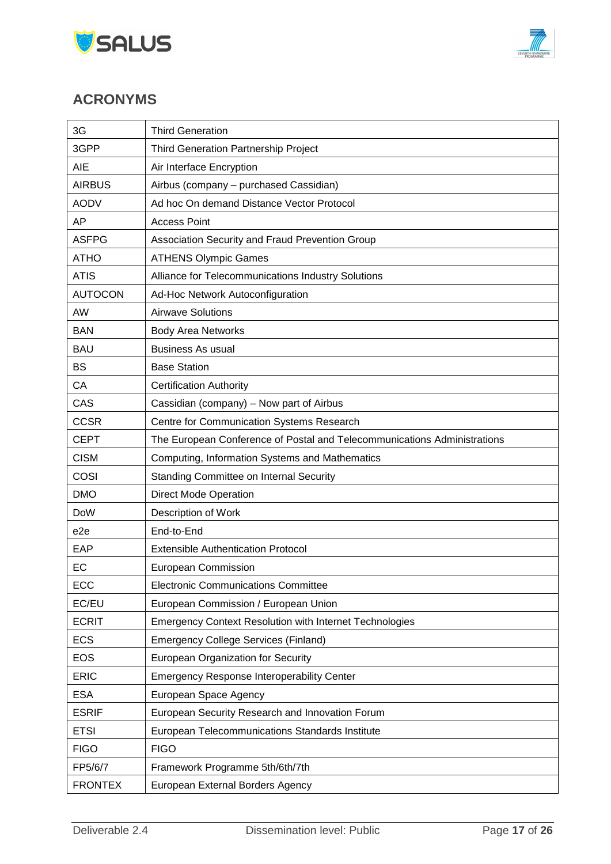



## <span id="page-16-0"></span>**ACRONYMS**

| 3G              | <b>Third Generation</b>                                                  |
|-----------------|--------------------------------------------------------------------------|
| 3GPP            | <b>Third Generation Partnership Project</b>                              |
| <b>AIE</b>      | Air Interface Encryption                                                 |
| <b>AIRBUS</b>   | Airbus (company - purchased Cassidian)                                   |
| <b>AODV</b>     | Ad hoc On demand Distance Vector Protocol                                |
| AP              | <b>Access Point</b>                                                      |
| <b>ASFPG</b>    | Association Security and Fraud Prevention Group                          |
| <b>ATHO</b>     | <b>ATHENS Olympic Games</b>                                              |
| <b>ATIS</b>     | Alliance for Telecommunications Industry Solutions                       |
| <b>AUTOCON</b>  | Ad-Hoc Network Autoconfiguration                                         |
| AW              | <b>Airwave Solutions</b>                                                 |
| <b>BAN</b>      | <b>Body Area Networks</b>                                                |
| <b>BAU</b>      | <b>Business As usual</b>                                                 |
| <b>BS</b>       | <b>Base Station</b>                                                      |
| CA              | <b>Certification Authority</b>                                           |
| CAS             | Cassidian (company) - Now part of Airbus                                 |
| <b>CCSR</b>     | Centre for Communication Systems Research                                |
| <b>CEPT</b>     | The European Conference of Postal and Telecommunications Administrations |
| <b>CISM</b>     | Computing, Information Systems and Mathematics                           |
| COSI            | <b>Standing Committee on Internal Security</b>                           |
| <b>DMO</b>      | <b>Direct Mode Operation</b>                                             |
| <b>DoW</b>      | Description of Work                                                      |
| e <sub>2e</sub> | End-to-End                                                               |
| EAP             | <b>Extensible Authentication Protocol</b>                                |
| EC              | European Commission                                                      |
| ECC             | <b>Electronic Communications Committee</b>                               |
| EC/EU           | European Commission / European Union                                     |
| <b>ECRIT</b>    | <b>Emergency Context Resolution with Internet Technologies</b>           |
| <b>ECS</b>      | <b>Emergency College Services (Finland)</b>                              |
| <b>EOS</b>      | European Organization for Security                                       |
| <b>ERIC</b>     | <b>Emergency Response Interoperability Center</b>                        |
| <b>ESA</b>      | European Space Agency                                                    |
| <b>ESRIF</b>    | European Security Research and Innovation Forum                          |
| <b>ETSI</b>     | European Telecommunications Standards Institute                          |
| <b>FIGO</b>     | <b>FIGO</b>                                                              |
| FP5/6/7         | Framework Programme 5th/6th/7th                                          |
| <b>FRONTEX</b>  | European External Borders Agency                                         |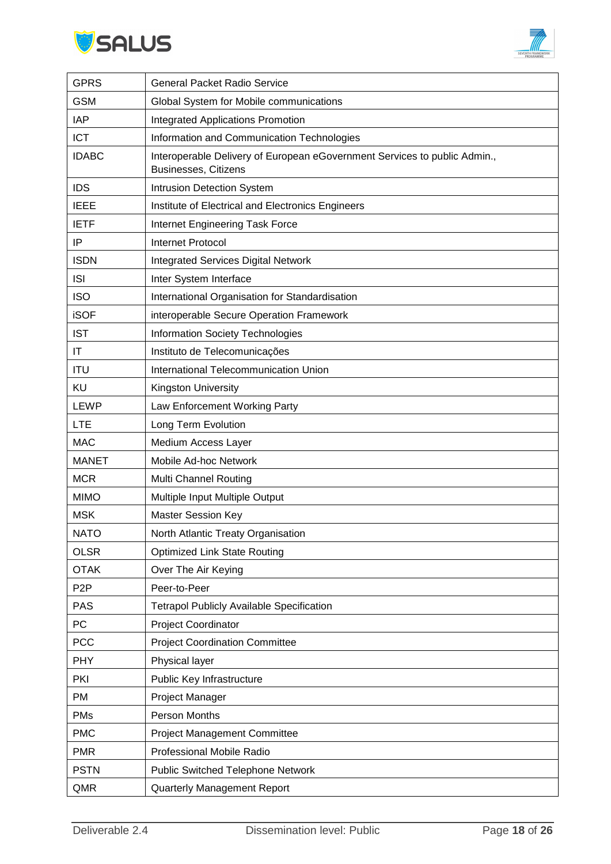



| <b>GPRS</b>      | <b>General Packet Radio Service</b>                                                                      |
|------------------|----------------------------------------------------------------------------------------------------------|
| <b>GSM</b>       | Global System for Mobile communications                                                                  |
| IAP              | <b>Integrated Applications Promotion</b>                                                                 |
| <b>ICT</b>       | Information and Communication Technologies                                                               |
| <b>IDABC</b>     | Interoperable Delivery of European eGovernment Services to public Admin.,<br><b>Businesses, Citizens</b> |
| <b>IDS</b>       | Intrusion Detection System                                                                               |
| <b>IEEE</b>      | Institute of Electrical and Electronics Engineers                                                        |
| <b>IETF</b>      | Internet Engineering Task Force                                                                          |
| ΙP               | <b>Internet Protocol</b>                                                                                 |
| <b>ISDN</b>      | <b>Integrated Services Digital Network</b>                                                               |
| <b>ISI</b>       | Inter System Interface                                                                                   |
| <b>ISO</b>       | International Organisation for Standardisation                                                           |
| <b>iSOF</b>      | interoperable Secure Operation Framework                                                                 |
| <b>IST</b>       | Information Society Technologies                                                                         |
| IT               | Instituto de Telecomunicações                                                                            |
| <b>ITU</b>       | International Telecommunication Union                                                                    |
| KU               | <b>Kingston University</b>                                                                               |
| <b>LEWP</b>      | Law Enforcement Working Party                                                                            |
| <b>LTE</b>       | Long Term Evolution                                                                                      |
| <b>MAC</b>       | Medium Access Layer                                                                                      |
| <b>MANET</b>     | Mobile Ad-hoc Network                                                                                    |
| <b>MCR</b>       | <b>Multi Channel Routing</b>                                                                             |
| <b>MIMO</b>      | Multiple Input Multiple Output                                                                           |
| <b>MSK</b>       | <b>Master Session Key</b>                                                                                |
| <b>NATO</b>      | North Atlantic Treaty Organisation                                                                       |
| <b>OLSR</b>      | <b>Optimized Link State Routing</b>                                                                      |
| <b>OTAK</b>      | Over The Air Keying                                                                                      |
| P <sub>2</sub> P | Peer-to-Peer                                                                                             |
| <b>PAS</b>       | <b>Tetrapol Publicly Available Specification</b>                                                         |
| PC               | Project Coordinator                                                                                      |
| <b>PCC</b>       | <b>Project Coordination Committee</b>                                                                    |
| <b>PHY</b>       | Physical layer                                                                                           |
| PKI              | Public Key Infrastructure                                                                                |
| <b>PM</b>        | Project Manager                                                                                          |
| <b>PMs</b>       | Person Months                                                                                            |
| <b>PMC</b>       | <b>Project Management Committee</b>                                                                      |
| <b>PMR</b>       | Professional Mobile Radio                                                                                |
| <b>PSTN</b>      | <b>Public Switched Telephone Network</b>                                                                 |
| QMR              | Quarterly Management Report                                                                              |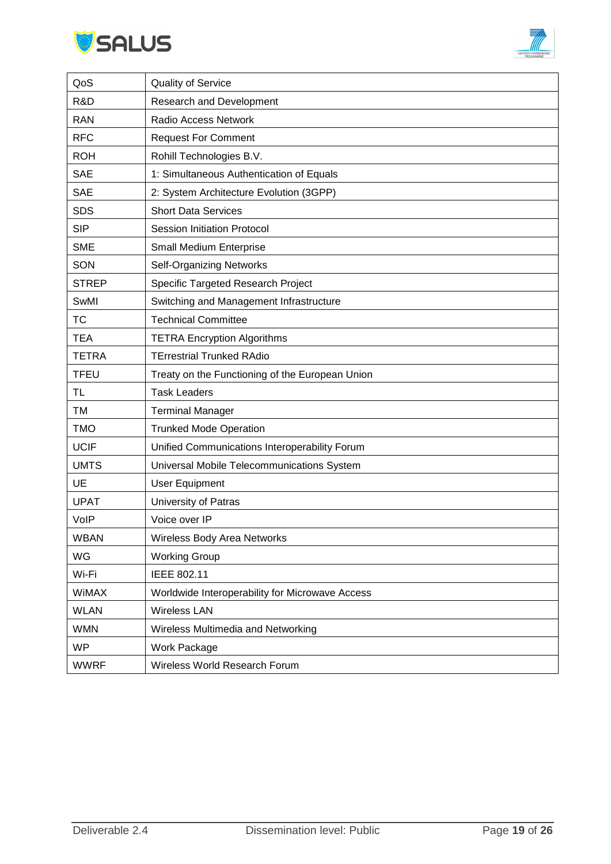



| QoS          | <b>Quality of Service</b>                       |
|--------------|-------------------------------------------------|
| R&D          | Research and Development                        |
| <b>RAN</b>   | Radio Access Network                            |
| <b>RFC</b>   | <b>Request For Comment</b>                      |
| <b>ROH</b>   | Rohill Technologies B.V.                        |
| <b>SAE</b>   | 1: Simultaneous Authentication of Equals        |
| <b>SAE</b>   | 2: System Architecture Evolution (3GPP)         |
| <b>SDS</b>   | <b>Short Data Services</b>                      |
| <b>SIP</b>   | <b>Session Initiation Protocol</b>              |
| <b>SME</b>   | Small Medium Enterprise                         |
| SON          | <b>Self-Organizing Networks</b>                 |
| <b>STREP</b> | Specific Targeted Research Project              |
| SwMI         | Switching and Management Infrastructure         |
| <b>TC</b>    | <b>Technical Committee</b>                      |
| <b>TEA</b>   | <b>TETRA Encryption Algorithms</b>              |
| <b>TETRA</b> | <b>TErrestrial Trunked RAdio</b>                |
| <b>TFEU</b>  | Treaty on the Functioning of the European Union |
| TL           | <b>Task Leaders</b>                             |
| TM           | <b>Terminal Manager</b>                         |
| <b>TMO</b>   | <b>Trunked Mode Operation</b>                   |
| <b>UCIF</b>  | Unified Communications Interoperability Forum   |
| <b>UMTS</b>  | Universal Mobile Telecommunications System      |
| UE           | <b>User Equipment</b>                           |
| <b>UPAT</b>  | University of Patras                            |
| VolP         | Voice over IP                                   |
| <b>WBAN</b>  | Wireless Body Area Networks                     |
| WG           | <b>Working Group</b>                            |
| Wi-Fi        | IEEE 802.11                                     |
| <b>WIMAX</b> | Worldwide Interoperability for Microwave Access |
| <b>WLAN</b>  | <b>Wireless LAN</b>                             |
| <b>WMN</b>   | Wireless Multimedia and Networking              |
| <b>WP</b>    | Work Package                                    |
| <b>WWRF</b>  | Wireless World Research Forum                   |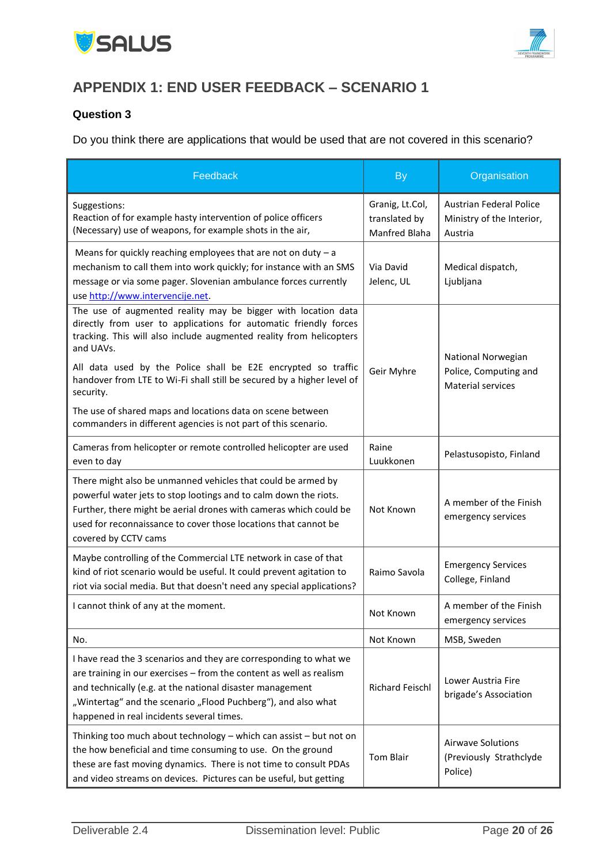



### <span id="page-19-0"></span>**APPENDIX 1: END USER FEEDBACK – SCENARIO 1**

#### **Question 3**

Do you think there are applications that would be used that are not covered in this scenario?

| Feedback                                                                                                                                                                                                                                                                                                                                                                      | <b>By</b>                                                | Organisation                                                            |
|-------------------------------------------------------------------------------------------------------------------------------------------------------------------------------------------------------------------------------------------------------------------------------------------------------------------------------------------------------------------------------|----------------------------------------------------------|-------------------------------------------------------------------------|
| Suggestions:<br>Reaction of for example hasty intervention of police officers<br>(Necessary) use of weapons, for example shots in the air,                                                                                                                                                                                                                                    | Granig, Lt.Col,<br>translated by<br><b>Manfred Blaha</b> | <b>Austrian Federal Police</b><br>Ministry of the Interior,<br>Austria  |
| Means for quickly reaching employees that are not on duty $-$ a<br>mechanism to call them into work quickly; for instance with an SMS<br>message or via some pager. Slovenian ambulance forces currently<br>use http://www.intervencije.net.                                                                                                                                  | Via David<br>Jelenc, UL                                  | Medical dispatch,<br>Ljubljana                                          |
| The use of augmented reality may be bigger with location data<br>directly from user to applications for automatic friendly forces<br>tracking. This will also include augmented reality from helicopters<br>and UAVs.<br>All data used by the Police shall be E2E encrypted so traffic<br>handover from LTE to Wi-Fi shall still be secured by a higher level of<br>security. | Geir Myhre                                               | National Norwegian<br>Police, Computing and<br><b>Material services</b> |
| The use of shared maps and locations data on scene between<br>commanders in different agencies is not part of this scenario.                                                                                                                                                                                                                                                  |                                                          |                                                                         |
| Cameras from helicopter or remote controlled helicopter are used<br>even to day                                                                                                                                                                                                                                                                                               | Raine<br>Luukkonen                                       | Pelastusopisto, Finland                                                 |
| There might also be unmanned vehicles that could be armed by<br>powerful water jets to stop lootings and to calm down the riots.<br>Further, there might be aerial drones with cameras which could be<br>used for reconnaissance to cover those locations that cannot be<br>covered by CCTV cams                                                                              | Not Known                                                | A member of the Finish<br>emergency services                            |
| Maybe controlling of the Commercial LTE network in case of that<br>kind of riot scenario would be useful. It could prevent agitation to<br>riot via social media. But that doesn't need any special applications?                                                                                                                                                             | Raimo Savola                                             | <b>Emergency Services</b><br>College, Finland                           |
| I cannot think of any at the moment.                                                                                                                                                                                                                                                                                                                                          | Not Known                                                | A member of the Finish<br>emergency services                            |
| No.                                                                                                                                                                                                                                                                                                                                                                           | Not Known                                                | MSB, Sweden                                                             |
| I have read the 3 scenarios and they are corresponding to what we<br>are training in our exercises - from the content as well as realism<br>and technically (e.g. at the national disaster management<br>"Wintertag" and the scenario "Flood Puchberg"), and also what<br>happened in real incidents several times.                                                           | Richard Feischl                                          | Lower Austria Fire<br>brigade's Association                             |
| Thinking too much about technology - which can assist - but not on<br>the how beneficial and time consuming to use. On the ground<br>these are fast moving dynamics. There is not time to consult PDAs<br>and video streams on devices. Pictures can be useful, but getting                                                                                                   | <b>Tom Blair</b>                                         | <b>Airwave Solutions</b><br>(Previously Strathclyde<br>Police)          |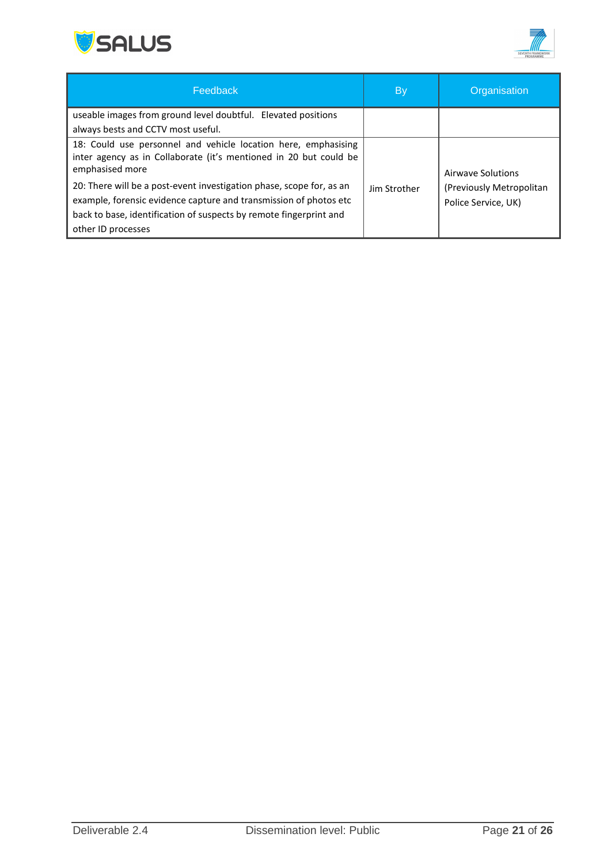



| Feedback                                                                                                                                                                                                                              | <b>By</b>    | Organisation                                    |
|---------------------------------------------------------------------------------------------------------------------------------------------------------------------------------------------------------------------------------------|--------------|-------------------------------------------------|
| useable images from ground level doubtful. Elevated positions                                                                                                                                                                         |              |                                                 |
| always bests and CCTV most useful.                                                                                                                                                                                                    |              |                                                 |
| 18: Could use personnel and vehicle location here, emphasising<br>inter agency as in Collaborate (it's mentioned in 20 but could be<br>emphasised more                                                                                |              | Airwaye Solutions                               |
| 20: There will be a post-event investigation phase, scope for, as an<br>example, forensic evidence capture and transmission of photos etc<br>back to base, identification of suspects by remote fingerprint and<br>other ID processes | Jim Strother | (Previously Metropolitan<br>Police Service, UK) |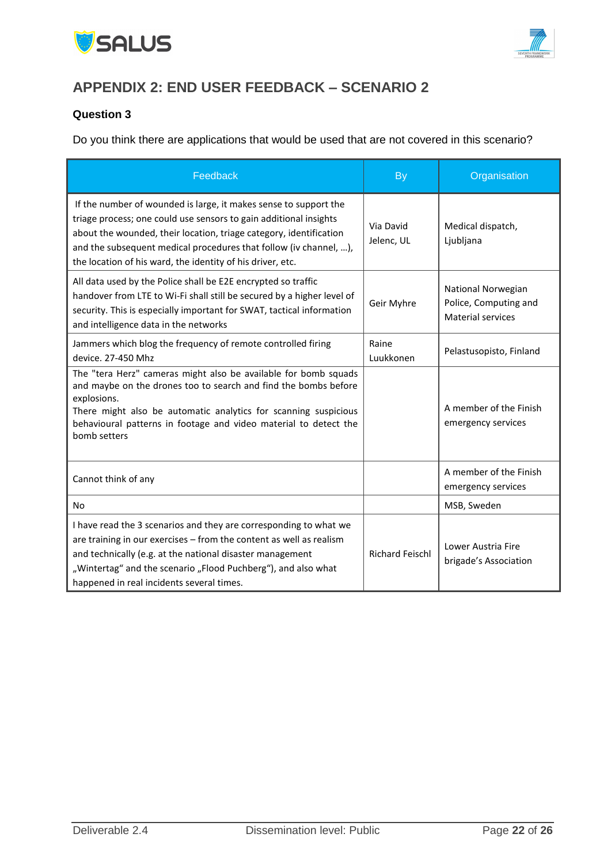



## <span id="page-21-0"></span>**APPENDIX 2: END USER FEEDBACK – SCENARIO 2**

#### **Question 3**

Do you think there are applications that would be used that are not covered in this scenario?

| Feedback                                                                                                                                                                                                                                                                                                                                       | <b>By</b>               | Organisation                                                            |
|------------------------------------------------------------------------------------------------------------------------------------------------------------------------------------------------------------------------------------------------------------------------------------------------------------------------------------------------|-------------------------|-------------------------------------------------------------------------|
| If the number of wounded is large, it makes sense to support the<br>triage process; one could use sensors to gain additional insights<br>about the wounded, their location, triage category, identification<br>and the subsequent medical procedures that follow (iv channel, ),<br>the location of his ward, the identity of his driver, etc. | Via David<br>Jelenc, UL | Medical dispatch,<br>Ljubljana                                          |
| All data used by the Police shall be E2E encrypted so traffic<br>handover from LTE to Wi-Fi shall still be secured by a higher level of<br>security. This is especially important for SWAT, tactical information<br>and intelligence data in the networks                                                                                      | Geir Myhre              | National Norwegian<br>Police, Computing and<br><b>Material services</b> |
| Jammers which blog the frequency of remote controlled firing<br>device. 27-450 Mhz                                                                                                                                                                                                                                                             | Raine<br>Luukkonen      | Pelastusopisto, Finland                                                 |
| The "tera Herz" cameras might also be available for bomb squads<br>and maybe on the drones too to search and find the bombs before<br>explosions.<br>There might also be automatic analytics for scanning suspicious<br>behavioural patterns in footage and video material to detect the<br>bomb setters                                       |                         | A member of the Finish<br>emergency services                            |
| Cannot think of any                                                                                                                                                                                                                                                                                                                            |                         | A member of the Finish<br>emergency services                            |
| <b>No</b>                                                                                                                                                                                                                                                                                                                                      |                         | MSB, Sweden                                                             |
| I have read the 3 scenarios and they are corresponding to what we<br>are training in our exercises - from the content as well as realism<br>and technically (e.g. at the national disaster management<br>"Wintertag" and the scenario "Flood Puchberg"), and also what<br>happened in real incidents several times.                            | <b>Richard Feischl</b>  | Lower Austria Fire<br>brigade's Association                             |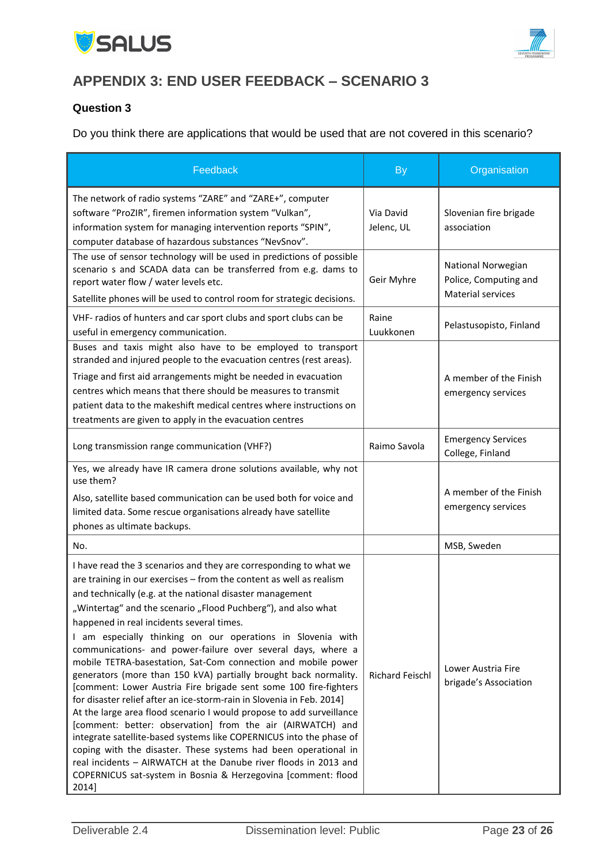



# <span id="page-22-0"></span>**APPENDIX 3: END USER FEEDBACK – SCENARIO 3**

#### **Question 3**

Do you think there are applications that would be used that are not covered in this scenario?

| Feedback                                                                                                                                                                                                                                                                                                                                                                                                                                                                                                                                                                                                                                                                                                                                                                                                                                                                                                                                                                                                                                                                                                                                                           | <b>By</b>               | Organisation                                                     |
|--------------------------------------------------------------------------------------------------------------------------------------------------------------------------------------------------------------------------------------------------------------------------------------------------------------------------------------------------------------------------------------------------------------------------------------------------------------------------------------------------------------------------------------------------------------------------------------------------------------------------------------------------------------------------------------------------------------------------------------------------------------------------------------------------------------------------------------------------------------------------------------------------------------------------------------------------------------------------------------------------------------------------------------------------------------------------------------------------------------------------------------------------------------------|-------------------------|------------------------------------------------------------------|
| The network of radio systems "ZARE" and "ZARE+", computer<br>software "ProZIR", firemen information system "Vulkan",<br>information system for managing intervention reports "SPIN",<br>computer database of hazardous substances "NevSnov".                                                                                                                                                                                                                                                                                                                                                                                                                                                                                                                                                                                                                                                                                                                                                                                                                                                                                                                       | Via David<br>Jelenc, UL | Slovenian fire brigade<br>association                            |
| The use of sensor technology will be used in predictions of possible<br>scenario s and SCADA data can be transferred from e.g. dams to<br>report water flow / water levels etc.<br>Satellite phones will be used to control room for strategic decisions.                                                                                                                                                                                                                                                                                                                                                                                                                                                                                                                                                                                                                                                                                                                                                                                                                                                                                                          | Geir Myhre              | National Norwegian<br>Police, Computing and<br>Material services |
| VHF- radios of hunters and car sport clubs and sport clubs can be<br>useful in emergency communication.                                                                                                                                                                                                                                                                                                                                                                                                                                                                                                                                                                                                                                                                                                                                                                                                                                                                                                                                                                                                                                                            | Raine<br>Luukkonen      | Pelastusopisto, Finland                                          |
| Buses and taxis might also have to be employed to transport<br>stranded and injured people to the evacuation centres (rest areas).<br>Triage and first aid arrangements might be needed in evacuation<br>centres which means that there should be measures to transmit<br>patient data to the makeshift medical centres where instructions on<br>treatments are given to apply in the evacuation centres                                                                                                                                                                                                                                                                                                                                                                                                                                                                                                                                                                                                                                                                                                                                                           |                         | A member of the Finish<br>emergency services                     |
| Long transmission range communication (VHF?)                                                                                                                                                                                                                                                                                                                                                                                                                                                                                                                                                                                                                                                                                                                                                                                                                                                                                                                                                                                                                                                                                                                       | Raimo Savola            | <b>Emergency Services</b><br>College, Finland                    |
| Yes, we already have IR camera drone solutions available, why not<br>use them?<br>Also, satellite based communication can be used both for voice and<br>limited data. Some rescue organisations already have satellite<br>phones as ultimate backups.                                                                                                                                                                                                                                                                                                                                                                                                                                                                                                                                                                                                                                                                                                                                                                                                                                                                                                              |                         | A member of the Finish<br>emergency services                     |
| No.                                                                                                                                                                                                                                                                                                                                                                                                                                                                                                                                                                                                                                                                                                                                                                                                                                                                                                                                                                                                                                                                                                                                                                |                         | MSB, Sweden                                                      |
| I have read the 3 scenarios and they are corresponding to what we<br>are training in our exercises - from the content as well as realism<br>and technically (e.g. at the national disaster management<br>"Wintertag" and the scenario "Flood Puchberg"), and also what<br>happened in real incidents several times.<br>I am especially thinking on our operations in Slovenia with<br>communications- and power-failure over several days, where a<br>mobile TETRA-basestation, Sat-Com connection and mobile power<br>generators (more than 150 kVA) partially brought back normality.<br>[comment: Lower Austria Fire brigade sent some 100 fire-fighters<br>for disaster relief after an ice-storm-rain in Slovenia in Feb. 2014]<br>At the large area flood scenario I would propose to add surveillance<br>[comment: better: observation] from the air (AIRWATCH) and<br>integrate satellite-based systems like COPERNICUS into the phase of<br>coping with the disaster. These systems had been operational in<br>real incidents - AIRWATCH at the Danube river floods in 2013 and<br>COPERNICUS sat-system in Bosnia & Herzegovina [comment: flood<br>2014] | <b>Richard Feischl</b>  | Lower Austria Fire<br>brigade's Association                      |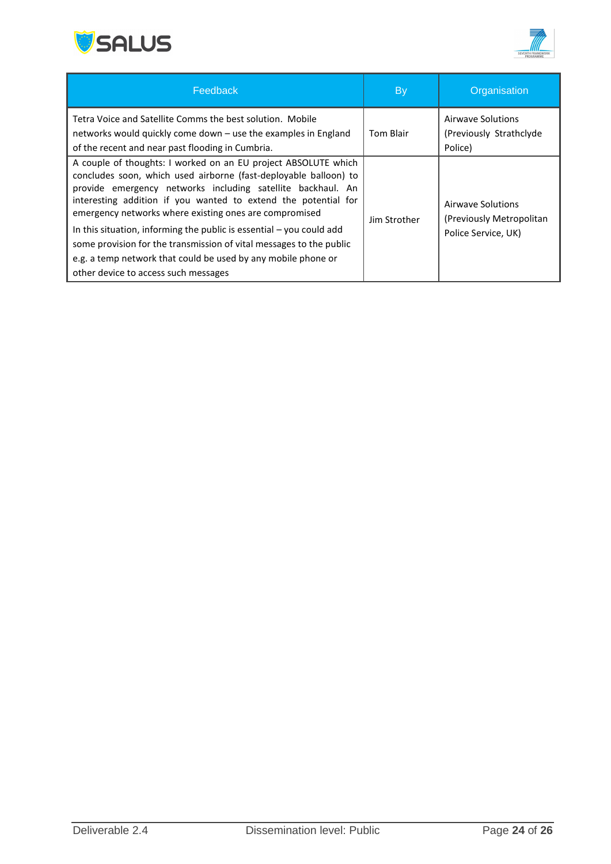



| Feedback                                                                                                                                                                                                                                                                                                                                                                                                                                                                       | By           | Organisation                                                         |
|--------------------------------------------------------------------------------------------------------------------------------------------------------------------------------------------------------------------------------------------------------------------------------------------------------------------------------------------------------------------------------------------------------------------------------------------------------------------------------|--------------|----------------------------------------------------------------------|
| Tetra Voice and Satellite Comms the best solution. Mobile<br>networks would quickly come down – use the examples in England<br>of the recent and near past flooding in Cumbria.                                                                                                                                                                                                                                                                                                | Tom Blair    | Airwave Solutions<br>(Previously Strathclyde<br>Police)              |
| A couple of thoughts: I worked on an EU project ABSOLUTE which<br>concludes soon, which used airborne (fast-deployable balloon) to<br>provide emergency networks including satellite backhaul. An<br>interesting addition if you wanted to extend the potential for<br>emergency networks where existing ones are compromised<br>In this situation, informing the public is essential $-$ you could add<br>some provision for the transmission of vital messages to the public | Jim Strother | Airwaye Solutions<br>(Previously Metropolitan<br>Police Service, UK) |
| e.g. a temp network that could be used by any mobile phone or<br>other device to access such messages                                                                                                                                                                                                                                                                                                                                                                          |              |                                                                      |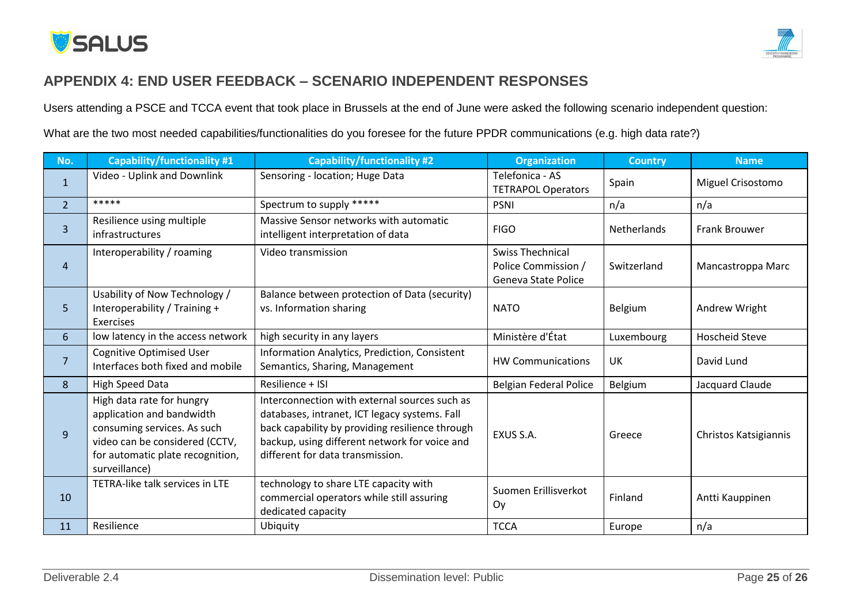

### **APPENDIX 4: END USER FEEDBACK – SCENARIO INDEPENDENT RESPONSES**

Users attending a PSCE and TCCA event that took place in Brussels at the end of June were asked the following scenario independent question:

What are the two most needed capabilities/functionalities do you foresee for the future PPDR communications (e.g. high data rate?)

<span id="page-24-0"></span>

| No.            | <b>Capability/functionality #1</b>                                                                                                                                           | <b>Capability/functionality #2</b>                                                                                                                                                                                                     | <b>Organization</b>                                                          | <b>Country</b>     | <b>Name</b>           |
|----------------|------------------------------------------------------------------------------------------------------------------------------------------------------------------------------|----------------------------------------------------------------------------------------------------------------------------------------------------------------------------------------------------------------------------------------|------------------------------------------------------------------------------|--------------------|-----------------------|
| $\mathbf{1}$   | Video - Uplink and Downlink                                                                                                                                                  | Sensoring - location; Huge Data                                                                                                                                                                                                        | Telefonica - AS<br><b>TETRAPOL Operators</b>                                 | Spain              | Miguel Crisostomo     |
| $\overline{2}$ | *****                                                                                                                                                                        | Spectrum to supply *****                                                                                                                                                                                                               | <b>PSNI</b>                                                                  | n/a                | n/a                   |
| $\overline{3}$ | Resilience using multiple<br>infrastructures                                                                                                                                 | Massive Sensor networks with automatic<br>intelligent interpretation of data                                                                                                                                                           | <b>FIGO</b>                                                                  | <b>Netherlands</b> | <b>Frank Brouwer</b>  |
| $\overline{4}$ | Interoperability / roaming                                                                                                                                                   | Video transmission                                                                                                                                                                                                                     | <b>Swiss Thechnical</b><br>Police Commission /<br><b>Geneva State Police</b> | Switzerland        | Mancastroppa Marc     |
| 5              | Usability of Now Technology /<br>Interoperability / Training +<br><b>Exercises</b>                                                                                           | Balance between protection of Data (security)<br>vs. Information sharing                                                                                                                                                               | <b>NATO</b>                                                                  | Belgium            | Andrew Wright         |
| 6              | low latency in the access network                                                                                                                                            | high security in any layers                                                                                                                                                                                                            | Ministère d'État                                                             | Luxembourg         | <b>Hoscheid Steve</b> |
| 7              | <b>Cognitive Optimised User</b><br>Interfaces both fixed and mobile                                                                                                          | Information Analytics, Prediction, Consistent<br>Semantics, Sharing, Management                                                                                                                                                        | <b>HW Communications</b>                                                     | UK                 | David Lund            |
| 8              | <b>High Speed Data</b>                                                                                                                                                       | Resilience + ISI                                                                                                                                                                                                                       | <b>Belgian Federal Police</b>                                                | Belgium            | Jacquard Claude       |
| 9              | High data rate for hungry<br>application and bandwidth<br>consuming services. As such<br>video can be considered (CCTV,<br>for automatic plate recognition,<br>surveillance) | Interconnection with external sources such as<br>databases, intranet, ICT legacy systems. Fall<br>back capability by providing resilience through<br>backup, using different network for voice and<br>different for data transmission. | EXUS S.A.                                                                    | Greece             | Christos Katsigiannis |
| 10             | TETRA-like talk services in LTE                                                                                                                                              | technology to share LTE capacity with<br>commercial operators while still assuring<br>dedicated capacity                                                                                                                               | Suomen Erillisverkot<br>Oy                                                   | Finland            | Antti Kauppinen       |
| 11             | Resilience                                                                                                                                                                   | Ubiquity                                                                                                                                                                                                                               | <b>TCCA</b>                                                                  | Europe             | n/a                   |